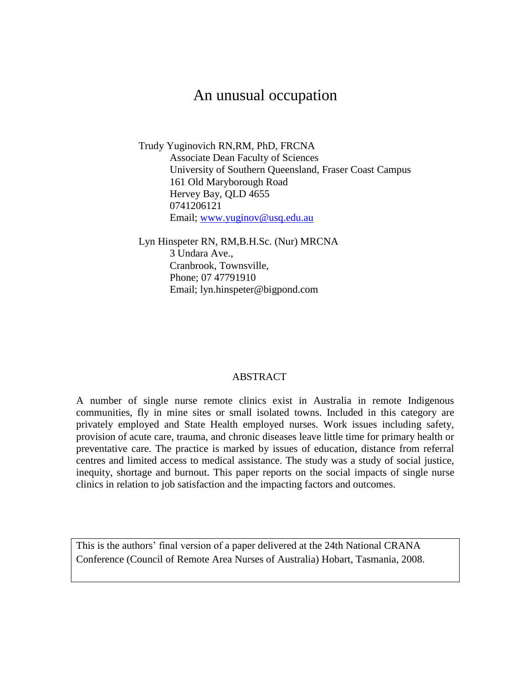# An unusual occupation

Trudy Yuginovich RN,RM, PhD, FRCNA Associate Dean Faculty of Sciences University of Southern Queensland, Fraser Coast Campus 161 Old Maryborough Road Hervey Bay, QLD 4655 0741206121 Email; [www.yuginov@usq.edu.au](http://www.yuginov@usq.edu.au/) 

Lyn Hinspeter RN, RM,B.H.Sc. (Nur) MRCNA 3 Undara Ave., Cranbrook, Townsville, Phone; 07 47791910 Email; lyn.hinspeter@bigpond.com

#### ABSTRACT

A number of single nurse remote clinics exist in Australia in remote Indigenous communities, fly in mine sites or small isolated towns. Included in this category are privately employed and State Health employed nurses. Work issues including safety, provision of acute care, trauma, and chronic diseases leave little time for primary health or preventative care. The practice is marked by issues of education, distance from referral centres and limited access to medical assistance. The study was a study of social justice, inequity, shortage and burnout. This paper reports on the social impacts of single nurse clinics in relation to job satisfaction and the impacting factors and outcomes.

This is the authors" final version of a paper delivered at the 24th National CRANA Conference (Council of Remote Area Nurses of Australia) Hobart, Tasmania, 2008.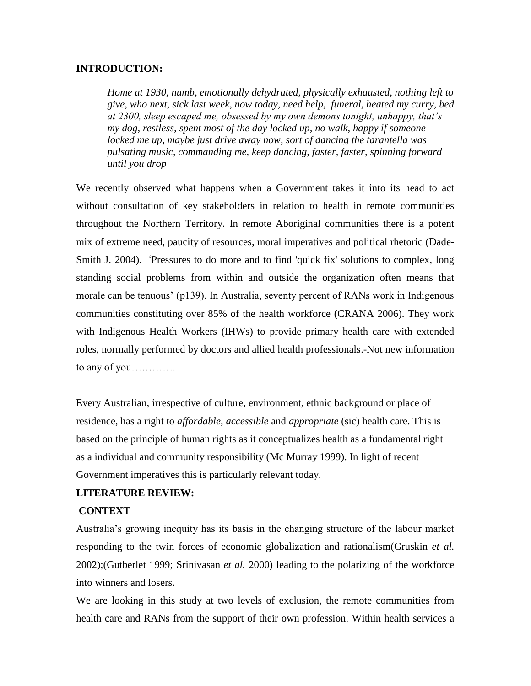#### **INTRODUCTION:**

*Home at 1930, numb, emotionally dehydrated, physically exhausted, nothing left to give, who next, sick last week, now today, need help, funeral, heated my curry, bed at 2300, sleep escaped me, obsessed by my own demons tonight, unhappy, that's my dog, restless, spent most of the day locked up, no walk, happy if someone locked me up, maybe just drive away now, sort of dancing the tarantella was pulsating music, commanding me, keep dancing, faster, faster, spinning forward until you drop*

We recently observed what happens when a Government takes it into its head to act without consultation of key stakeholders in relation to health in remote communities throughout the Northern Territory. In remote Aboriginal communities there is a potent mix of extreme need, paucity of resources, moral imperatives and political rhetoric (Dade-Smith J. 2004). 'Pressures to do more and to find 'quick fix' solutions to complex, long standing social problems from within and outside the organization often means that morale can be tenuous' (p139). In Australia, seventy percent of RANs work in Indigenous communities constituting over 85% of the health workforce (CRANA 2006). They work with Indigenous Health Workers (IHWs) to provide primary health care with extended roles, normally performed by doctors and allied health professionals.-Not new information to any of you………….

Every Australian, irrespective of culture, environment, ethnic background or place of residence, has a right to *affordable, accessible* and *appropriate* (sic) health care. This is based on the principle of human rights as it conceptualizes health as a fundamental right as a individual and community responsibility (Mc Murray 1999). In light of recent Government imperatives this is particularly relevant today.

# **LITERATURE REVIEW:**

#### **CONTEXT**

Australia"s growing inequity has its basis in the changing structure of the labour market responding to the twin forces of economic globalization and rationalism(Gruskin *et al.* 2002);(Gutberlet 1999; Srinivasan *et al.* 2000) leading to the polarizing of the workforce into winners and losers.

We are looking in this study at two levels of exclusion, the remote communities from health care and RANs from the support of their own profession. Within health services a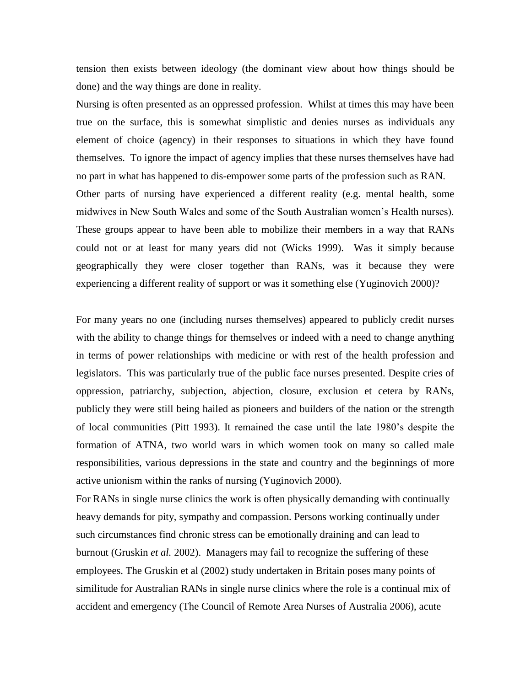tension then exists between ideology (the dominant view about how things should be done) and the way things are done in reality.

Nursing is often presented as an oppressed profession. Whilst at times this may have been true on the surface, this is somewhat simplistic and denies nurses as individuals any element of choice (agency) in their responses to situations in which they have found themselves. To ignore the impact of agency implies that these nurses themselves have had no part in what has happened to dis-empower some parts of the profession such as RAN. Other parts of nursing have experienced a different reality (e.g. mental health, some midwives in New South Wales and some of the South Australian women"s Health nurses). These groups appear to have been able to mobilize their members in a way that RANs could not or at least for many years did not (Wicks 1999). Was it simply because geographically they were closer together than RANs, was it because they were experiencing a different reality of support or was it something else (Yuginovich 2000)?

For many years no one (including nurses themselves) appeared to publicly credit nurses with the ability to change things for themselves or indeed with a need to change anything in terms of power relationships with medicine or with rest of the health profession and legislators. This was particularly true of the public face nurses presented. Despite cries of oppression, patriarchy, subjection, abjection, closure, exclusion et cetera by RANs, publicly they were still being hailed as pioneers and builders of the nation or the strength of local communities (Pitt 1993). It remained the case until the late 1980"s despite the formation of ATNA, two world wars in which women took on many so called male responsibilities, various depressions in the state and country and the beginnings of more active unionism within the ranks of nursing (Yuginovich 2000).

For RANs in single nurse clinics the work is often physically demanding with continually heavy demands for pity, sympathy and compassion. Persons working continually under such circumstances find chronic stress can be emotionally draining and can lead to burnout (Gruskin *et al.* 2002). Managers may fail to recognize the suffering of these employees. The Gruskin et al (2002) study undertaken in Britain poses many points of similitude for Australian RANs in single nurse clinics where the role is a continual mix of accident and emergency (The Council of Remote Area Nurses of Australia 2006), acute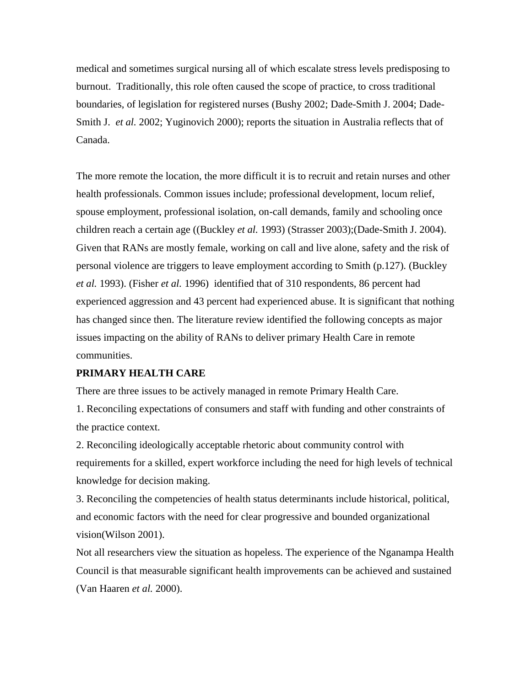medical and sometimes surgical nursing all of which escalate stress levels predisposing to burnout. Traditionally, this role often caused the scope of practice, to cross traditional boundaries, of legislation for registered nurses (Bushy 2002; Dade-Smith J. 2004; Dade-Smith J. *et al.* 2002; Yuginovich 2000); reports the situation in Australia reflects that of Canada.

The more remote the location, the more difficult it is to recruit and retain nurses and other health professionals. Common issues include; professional development, locum relief, spouse employment, professional isolation, on-call demands, family and schooling once children reach a certain age ((Buckley *et al.* 1993) (Strasser 2003);(Dade-Smith J. 2004). Given that RANs are mostly female, working on call and live alone, safety and the risk of personal violence are triggers to leave employment according to Smith (p.127). (Buckley *et al.* 1993). (Fisher *et al.* 1996) identified that of 310 respondents, 86 percent had experienced aggression and 43 percent had experienced abuse. It is significant that nothing has changed since then. The literature review identified the following concepts as major issues impacting on the ability of RANs to deliver primary Health Care in remote communities.

#### **PRIMARY HEALTH CARE**

There are three issues to be actively managed in remote Primary Health Care.

1. Reconciling expectations of consumers and staff with funding and other constraints of the practice context.

2. Reconciling ideologically acceptable rhetoric about community control with requirements for a skilled, expert workforce including the need for high levels of technical knowledge for decision making.

3. Reconciling the competencies of health status determinants include historical, political, and economic factors with the need for clear progressive and bounded organizational vision(Wilson 2001).

Not all researchers view the situation as hopeless. The experience of the Nganampa Health Council is that measurable significant health improvements can be achieved and sustained (Van Haaren *et al.* 2000).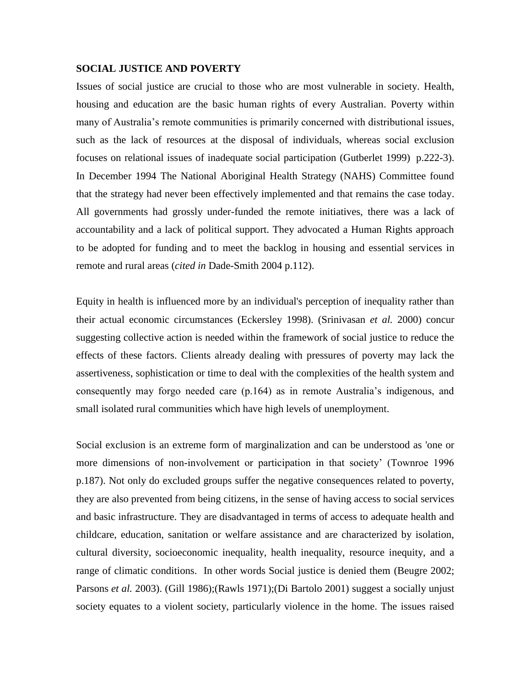#### **SOCIAL JUSTICE AND POVERTY**

Issues of social justice are crucial to those who are most vulnerable in society. Health, housing and education are the basic human rights of every Australian. Poverty within many of Australia's remote communities is primarily concerned with distributional issues, such as the lack of resources at the disposal of individuals, whereas social exclusion focuses on relational issues of inadequate social participation (Gutberlet 1999) p.222-3). In December 1994 The National Aboriginal Health Strategy (NAHS) Committee found that the strategy had never been effectively implemented and that remains the case today. All governments had grossly under-funded the remote initiatives, there was a lack of accountability and a lack of political support. They advocated a Human Rights approach to be adopted for funding and to meet the backlog in housing and essential services in remote and rural areas (*cited in* Dade-Smith 2004 p.112).

Equity in health is influenced more by an individual's perception of inequality rather than their actual economic circumstances (Eckersley 1998). (Srinivasan *et al.* 2000) concur suggesting collective action is needed within the framework of social justice to reduce the effects of these factors. Clients already dealing with pressures of poverty may lack the assertiveness, sophistication or time to deal with the complexities of the health system and consequently may forgo needed care (p.164) as in remote Australia"s indigenous, and small isolated rural communities which have high levels of unemployment.

Social exclusion is an extreme form of marginalization and can be understood as 'one or more dimensions of non-involvement or participation in that society" (Townroe 1996 p.187). Not only do excluded groups suffer the negative consequences related to poverty, they are also prevented from being citizens, in the sense of having access to social services and basic infrastructure. They are disadvantaged in terms of access to adequate health and childcare, education, sanitation or welfare assistance and are characterized by isolation, cultural diversity, socioeconomic inequality, health inequality, resource inequity, and a range of climatic conditions. In other words Social justice is denied them (Beugre 2002; Parsons *et al.* 2003). (Gill 1986);(Rawls 1971);(Di Bartolo 2001) suggest a socially unjust society equates to a violent society, particularly violence in the home. The issues raised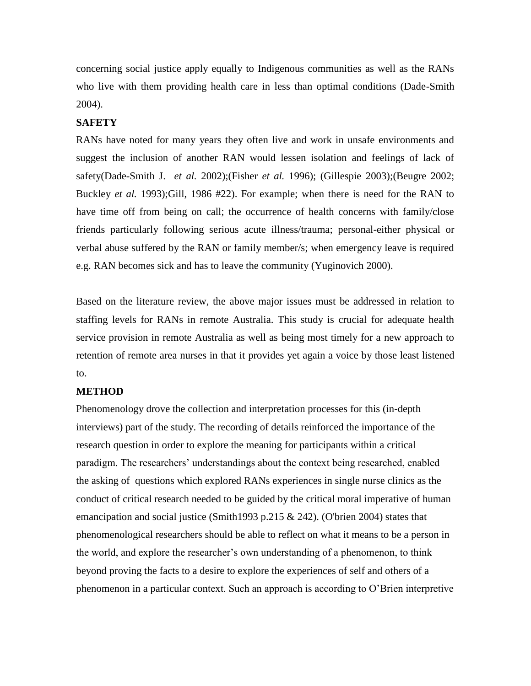concerning social justice apply equally to Indigenous communities as well as the RANs who live with them providing health care in less than optimal conditions (Dade-Smith 2004).

#### **SAFETY**

RANs have noted for many years they often live and work in unsafe environments and suggest the inclusion of another RAN would lessen isolation and feelings of lack of safety(Dade-Smith J. *et al.* 2002);(Fisher *et al.* 1996); (Gillespie 2003);(Beugre 2002; Buckley *et al.* 1993);Gill, 1986 #22). For example; when there is need for the RAN to have time off from being on call; the occurrence of health concerns with family/close friends particularly following serious acute illness/trauma; personal-either physical or verbal abuse suffered by the RAN or family member/s; when emergency leave is required e.g. RAN becomes sick and has to leave the community (Yuginovich 2000).

Based on the literature review, the above major issues must be addressed in relation to staffing levels for RANs in remote Australia. This study is crucial for adequate health service provision in remote Australia as well as being most timely for a new approach to retention of remote area nurses in that it provides yet again a voice by those least listened to.

#### **METHOD**

Phenomenology drove the collection and interpretation processes for this (in-depth interviews) part of the study. The recording of details reinforced the importance of the research question in order to explore the meaning for participants within a critical paradigm. The researchers' understandings about the context being researched, enabled the asking of questions which explored RANs experiences in single nurse clinics as the conduct of critical research needed to be guided by the critical moral imperative of human emancipation and social justice (Smith1993 p.215  $\&$  242). (O'brien 2004) states that phenomenological researchers should be able to reflect on what it means to be a person in the world, and explore the researcher"s own understanding of a phenomenon, to think beyond proving the facts to a desire to explore the experiences of self and others of a phenomenon in a particular context. Such an approach is according to O"Brien interpretive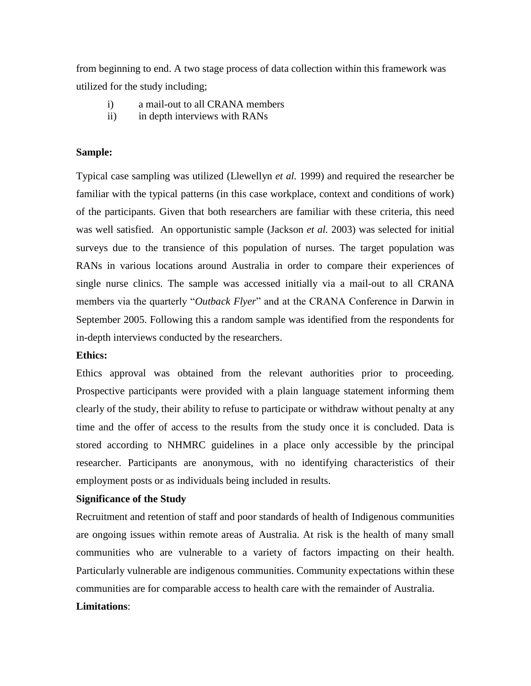from beginning to end. A two stage process of data collection within this framework was utilized for the study including;

- i) a mail-out to all CRANA members
- ii) in depth interviews with RANs

## **Sample:**

Typical case sampling was utilized (Llewellyn *et al.* 1999) and required the researcher be familiar with the typical patterns (in this case workplace, context and conditions of work) of the participants. Given that both researchers are familiar with these criteria, this need was well satisfied. An opportunistic sample (Jackson *et al.* 2003) was selected for initial surveys due to the transience of this population of nurses. The target population was RANs in various locations around Australia in order to compare their experiences of single nurse clinics. The sample was accessed initially via a mail-out to all CRANA members via the quarterly "*Outback Flyer*" and at the CRANA Conference in Darwin in September 2005. Following this a random sample was identified from the respondents for in-depth interviews conducted by the researchers.

#### **Ethics:**

Ethics approval was obtained from the relevant authorities prior to proceeding. Prospective participants were provided with a plain language statement informing them clearly of the study, their ability to refuse to participate or withdraw without penalty at any time and the offer of access to the results from the study once it is concluded. Data is stored according to NHMRC guidelines in a place only accessible by the principal researcher. Participants are anonymous, with no identifying characteristics of their employment posts or as individuals being included in results.

#### **Significance of the Study**

Recruitment and retention of staff and poor standards of health of Indigenous communities are ongoing issues within remote areas of Australia. At risk is the health of many small communities who are vulnerable to a variety of factors impacting on their health. Particularly vulnerable are indigenous communities. Community expectations within these communities are for comparable access to health care with the remainder of Australia.

# **Limitations**: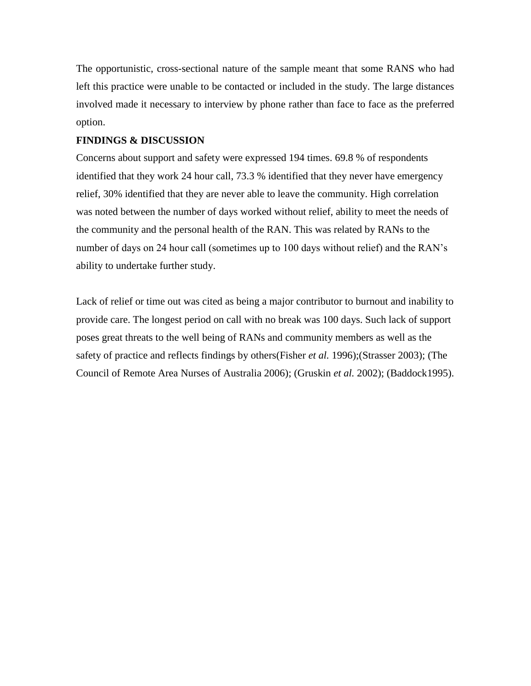The opportunistic, cross-sectional nature of the sample meant that some RANS who had left this practice were unable to be contacted or included in the study. The large distances involved made it necessary to interview by phone rather than face to face as the preferred option.

# **FINDINGS & DISCUSSION**

Concerns about support and safety were expressed 194 times. 69.8 % of respondents identified that they work 24 hour call, 73.3 % identified that they never have emergency relief, 30% identified that they are never able to leave the community. High correlation was noted between the number of days worked without relief, ability to meet the needs of the community and the personal health of the RAN. This was related by RANs to the number of days on 24 hour call (sometimes up to 100 days without relief) and the RAN's ability to undertake further study.

Lack of relief or time out was cited as being a major contributor to burnout and inability to provide care. The longest period on call with no break was 100 days. Such lack of support poses great threats to the well being of RANs and community members as well as the safety of practice and reflects findings by others(Fisher *et al.* 1996);(Strasser 2003); (The Council of Remote Area Nurses of Australia 2006); (Gruskin *et al.* 2002); (Baddock1995).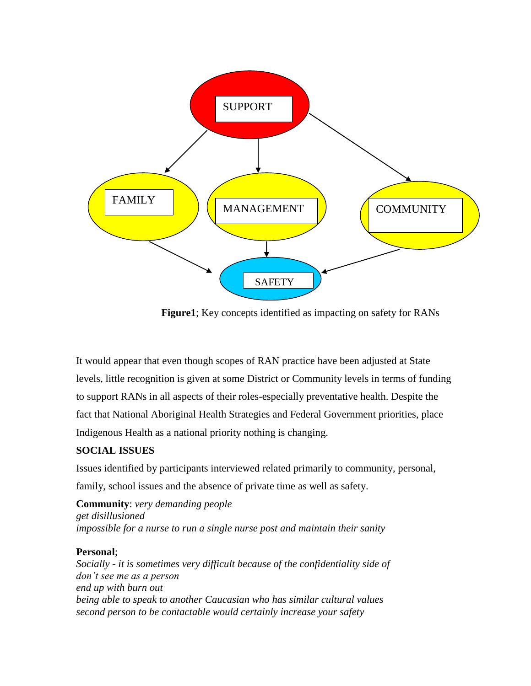

**Figure1**; Key concepts identified as impacting on safety for RANs

It would appear that even though scopes of RAN practice have been adjusted at State levels, little recognition is given at some District or Community levels in terms of funding to support RANs in all aspects of their roles-especially preventative health. Despite the fact that National Aboriginal Health Strategies and Federal Government priorities, place Indigenous Health as a national priority nothing is changing.

# **SOCIAL ISSUES**

Issues identified by participants interviewed related primarily to community, personal, family, school issues and the absence of private time as well as safety.

**Community**: *very demanding people get disillusioned impossible for a nurse to run a single nurse post and maintain their sanity*

# **Personal**;

*Socially - it is sometimes very difficult because of the confidentiality side of don't see me as a person end up with burn out being able to speak to another Caucasian who has similar cultural values second person to be contactable would certainly increase your safety*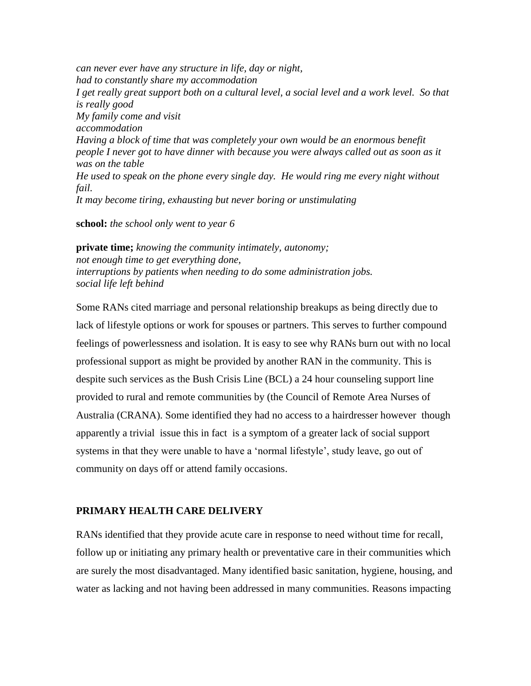*can never ever have any structure in life, day or night, had to constantly share my accommodation I get really great support both on a cultural level, a social level and a work level. So that is really good My family come and visit accommodation Having a block of time that was completely your own would be an enormous benefit people I never got to have dinner with because you were always called out as soon as it was on the table He used to speak on the phone every single day. He would ring me every night without fail. It may become tiring, exhausting but never boring or unstimulating*

**school:** *the school only went to year 6*

**private time;** *knowing the community intimately, autonomy; not enough time to get everything done, interruptions by patients when needing to do some administration jobs. social life left behind*

Some RANs cited marriage and personal relationship breakups as being directly due to lack of lifestyle options or work for spouses or partners. This serves to further compound feelings of powerlessness and isolation. It is easy to see why RANs burn out with no local professional support as might be provided by another RAN in the community. This is despite such services as the Bush Crisis Line (BCL) a 24 hour counseling support line provided to rural and remote communities by (the Council of Remote Area Nurses of Australia (CRANA). Some identified they had no access to a hairdresser however though apparently a trivial issue this in fact is a symptom of a greater lack of social support systems in that they were unable to have a "normal lifestyle", study leave, go out of community on days off or attend family occasions.

# **PRIMARY HEALTH CARE DELIVERY**

RANs identified that they provide acute care in response to need without time for recall, follow up or initiating any primary health or preventative care in their communities which are surely the most disadvantaged. Many identified basic sanitation, hygiene, housing, and water as lacking and not having been addressed in many communities. Reasons impacting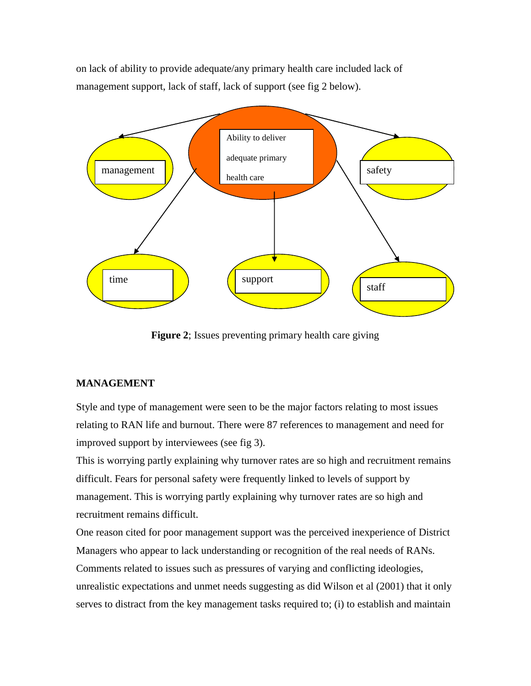on lack of ability to provide adequate/any primary health care included lack of management support, lack of staff, lack of support (see fig 2 below).



**Figure 2**; Issues preventing primary health care giving

# **MANAGEMENT**

Style and type of management were seen to be the major factors relating to most issues relating to RAN life and burnout. There were 87 references to management and need for improved support by interviewees (see fig 3).

This is worrying partly explaining why turnover rates are so high and recruitment remains difficult. Fears for personal safety were frequently linked to levels of support by management. This is worrying partly explaining why turnover rates are so high and recruitment remains difficult.

One reason cited for poor management support was the perceived inexperience of District Managers who appear to lack understanding or recognition of the real needs of RANs. Comments related to issues such as pressures of varying and conflicting ideologies, unrealistic expectations and unmet needs suggesting as did Wilson et al (2001) that it only serves to distract from the key management tasks required to; (i) to establish and maintain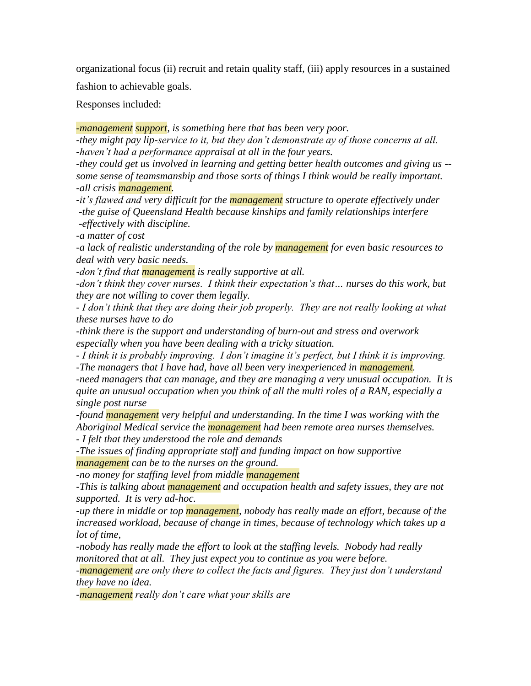organizational focus (ii) recruit and retain quality staff, (iii) apply resources in a sustained

fashion to achievable goals.

Responses included:

*-management support, is something here that has been very poor.* 

*-they might pay lip-service to it, but they don't demonstrate ay of those concerns at all. -haven't had a performance appraisal at all in the four years.*

*-they could get us involved in learning and getting better health outcomes and giving us - some sense of teamsmanship and those sorts of things I think would be really important. -all crisis management.*

*-it's flawed and very difficult for the management structure to operate effectively under -the guise of Queensland Health because kinships and family relationships interfere -effectively with discipline.*

*-a matter of cost*

*-a lack of realistic understanding of the role by management for even basic resources to deal with very basic needs.*

*-don't find that management is really supportive at all.*

*-don't think they cover nurses. I think their expectation's that… nurses do this work, but they are not willing to cover them legally.* 

*- I don't think that they are doing their job properly. They are not really looking at what these nurses have to do*

*-think there is the support and understanding of burn-out and stress and overwork especially when you have been dealing with a tricky situation.* 

*- I think it is probably improving. I don't imagine it's perfect, but I think it is improving. -The managers that I have had, have all been very inexperienced in management.* 

*-need managers that can manage, and they are managing a very unusual occupation. It is quite an unusual occupation when you think of all the multi roles of a RAN, especially a single post nurse*

*-found management very helpful and understanding. In the time I was working with the Aboriginal Medical service the management had been remote area nurses themselves.*

*- I felt that they understood the role and demands*

*-The issues of finding appropriate staff and funding impact on how supportive management can be to the nurses on the ground.* 

*-no money for staffing level from middle management*

*-This is talking about management and occupation health and safety issues, they are not supported. It is very ad-hoc.* 

*-up there in middle or top management, nobody has really made an effort, because of the increased workload, because of change in times, because of technology which takes up a lot of time,* 

*-nobody has really made the effort to look at the staffing levels. Nobody had really monitored that at all. They just expect you to continue as you were before.*

*-management are only there to collect the facts and figures. They just don't understand – they have no idea.*

*-management really don't care what your skills are*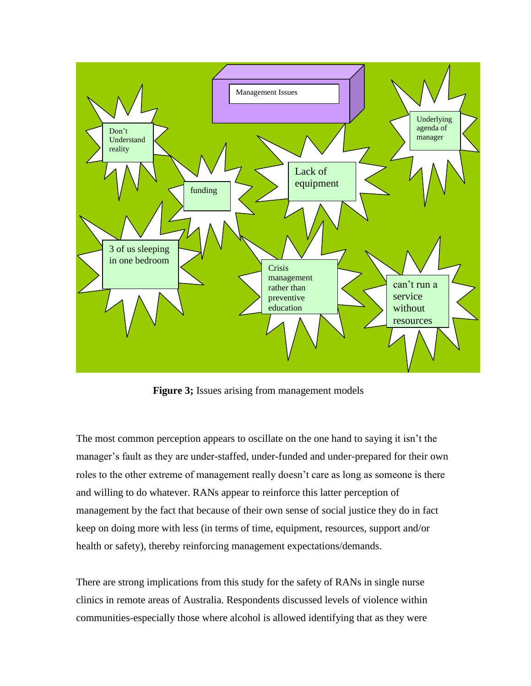

**Figure 3;** Issues arising from management models

The most common perception appears to oscillate on the one hand to saying it isn"t the manager's fault as they are under-staffed, under-funded and under-prepared for their own roles to the other extreme of management really doesn"t care as long as someone is there and willing to do whatever. RANs appear to reinforce this latter perception of management by the fact that because of their own sense of social justice they do in fact keep on doing more with less (in terms of time, equipment, resources, support and/or health or safety), thereby reinforcing management expectations/demands.

There are strong implications from this study for the safety of RANs in single nurse clinics in remote areas of Australia. Respondents discussed levels of violence within communities-especially those where alcohol is allowed identifying that as they were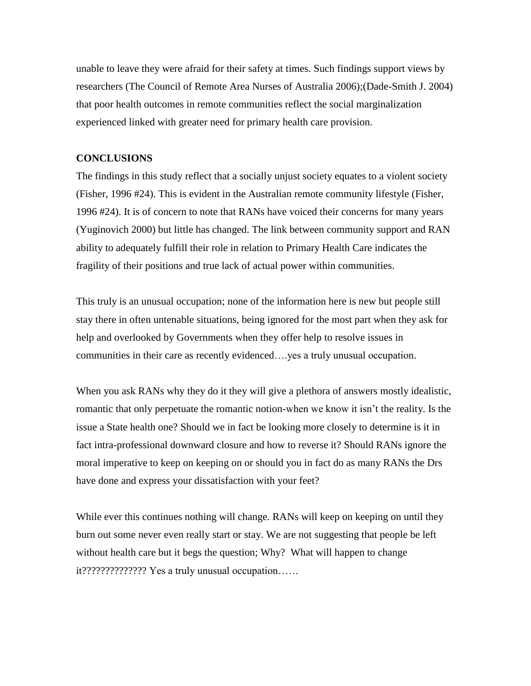unable to leave they were afraid for their safety at times. Such findings support views by researchers (The Council of Remote Area Nurses of Australia 2006);(Dade-Smith J. 2004) that poor health outcomes in remote communities reflect the social marginalization experienced linked with greater need for primary health care provision.

#### **CONCLUSIONS**

The findings in this study reflect that a socially unjust society equates to a violent society (Fisher, 1996 #24). This is evident in the Australian remote community lifestyle (Fisher, 1996 #24). It is of concern to note that RANs have voiced their concerns for many years (Yuginovich 2000) but little has changed. The link between community support and RAN ability to adequately fulfill their role in relation to Primary Health Care indicates the fragility of their positions and true lack of actual power within communities.

This truly is an unusual occupation; none of the information here is new but people still stay there in often untenable situations, being ignored for the most part when they ask for help and overlooked by Governments when they offer help to resolve issues in communities in their care as recently evidenced….yes a truly unusual occupation.

When you ask RANs why they do it they will give a plethora of answers mostly idealistic, romantic that only perpetuate the romantic notion-when we know it isn"t the reality. Is the issue a State health one? Should we in fact be looking more closely to determine is it in fact intra-professional downward closure and how to reverse it? Should RANs ignore the moral imperative to keep on keeping on or should you in fact do as many RANs the Drs have done and express your dissatisfaction with your feet?

While ever this continues nothing will change. RANs will keep on keeping on until they burn out some never even really start or stay. We are not suggesting that people be left without health care but it begs the question; Why? What will happen to change it?????????????? Yes a truly unusual occupation……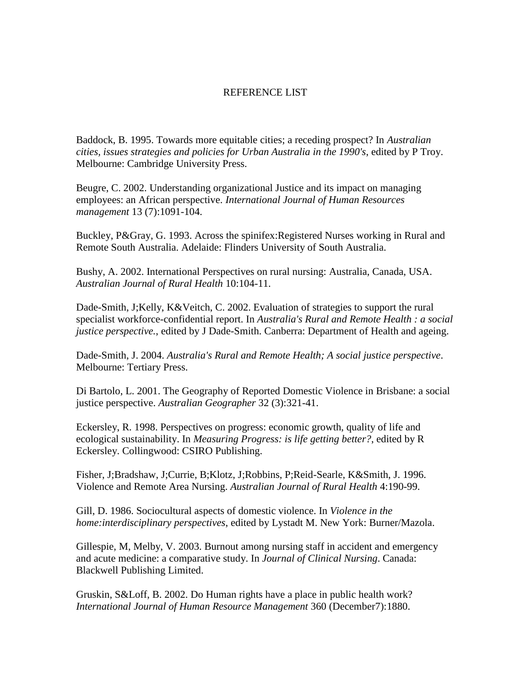## REFERENCE LIST

Baddock, B. 1995. Towards more equitable cities; a receding prospect? In *Australian cities, issues strategies and policies for Urban Australia in the 1990's*, edited by P Troy. Melbourne: Cambridge University Press.

Beugre, C. 2002. Understanding organizational Justice and its impact on managing employees: an African perspective. *International Journal of Human Resources management* 13 (7):1091-104.

Buckley, P&Gray, G. 1993. Across the spinifex:Registered Nurses working in Rural and Remote South Australia. Adelaide: Flinders University of South Australia.

Bushy, A. 2002. International Perspectives on rural nursing: Australia, Canada, USA. *Australian Journal of Rural Health* 10:104-11.

Dade-Smith, J;Kelly, K&Veitch, C. 2002. Evaluation of strategies to support the rural specialist workforce-confidential report. In *Australia's Rural and Remote Health : a social justice perspective.*, edited by J Dade-Smith. Canberra: Department of Health and ageing.

Dade-Smith, J. 2004. *Australia's Rural and Remote Health; A social justice perspective*. Melbourne: Tertiary Press.

Di Bartolo, L. 2001. The Geography of Reported Domestic Violence in Brisbane: a social justice perspective. *Australian Geographer* 32 (3):321-41.

Eckersley, R. 1998. Perspectives on progress: economic growth, quality of life and ecological sustainability. In *Measuring Progress: is life getting better?*, edited by R Eckersley. Collingwood: CSIRO Publishing.

Fisher, J;Bradshaw, J;Currie, B;Klotz, J;Robbins, P;Reid-Searle, K&Smith, J. 1996. Violence and Remote Area Nursing. *Australian Journal of Rural Health* 4:190-99.

Gill, D. 1986. Sociocultural aspects of domestic violence. In *Violence in the home:interdisciplinary perspectives*, edited by Lystadt M. New York: Burner/Mazola.

Gillespie, M, Melby, V. 2003. Burnout among nursing staff in accident and emergency and acute medicine: a comparative study. In *Journal of Clinical Nursing*. Canada: Blackwell Publishing Limited.

Gruskin, S&Loff, B. 2002. Do Human rights have a place in public health work? *International Journal of Human Resource Management* 360 (December7):1880.